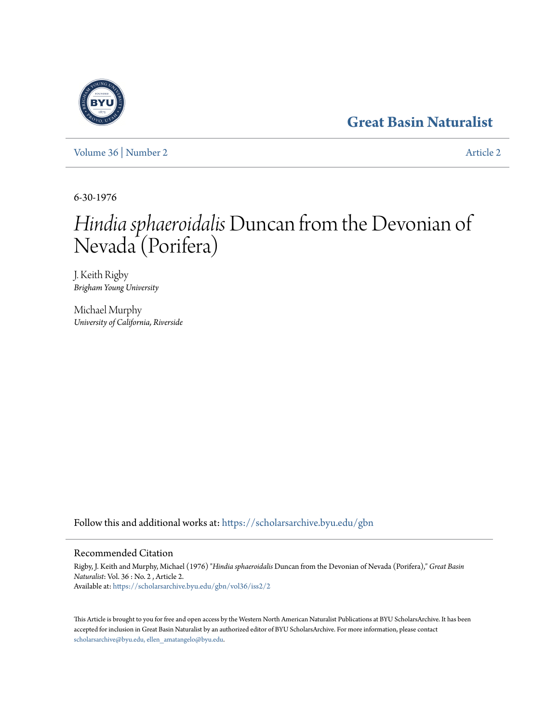## **[Great Basin Naturalist](https://scholarsarchive.byu.edu/gbn?utm_source=scholarsarchive.byu.edu%2Fgbn%2Fvol36%2Fiss2%2F2&utm_medium=PDF&utm_campaign=PDFCoverPages)**

[Volume 36](https://scholarsarchive.byu.edu/gbn/vol36?utm_source=scholarsarchive.byu.edu%2Fgbn%2Fvol36%2Fiss2%2F2&utm_medium=PDF&utm_campaign=PDFCoverPages) | [Number 2](https://scholarsarchive.byu.edu/gbn/vol36/iss2?utm_source=scholarsarchive.byu.edu%2Fgbn%2Fvol36%2Fiss2%2F2&utm_medium=PDF&utm_campaign=PDFCoverPages) [Article 2](https://scholarsarchive.byu.edu/gbn/vol36/iss2/2?utm_source=scholarsarchive.byu.edu%2Fgbn%2Fvol36%2Fiss2%2F2&utm_medium=PDF&utm_campaign=PDFCoverPages)

6-30-1976

# *Hindia sphaeroidalis*Duncan from the Devonian of Nevada (Porifera)

J. Keith Rigby *Brigham Young University*

Michael Murphy *University of California, Riverside*

Follow this and additional works at: [https://scholarsarchive.byu.edu/gbn](https://scholarsarchive.byu.edu/gbn?utm_source=scholarsarchive.byu.edu%2Fgbn%2Fvol36%2Fiss2%2F2&utm_medium=PDF&utm_campaign=PDFCoverPages)

### Recommended Citation

Rigby, J. Keith and Murphy, Michael (1976) "*Hindia sphaeroidalis* Duncan from the Devonian of Nevada (Porifera)," *Great Basin Naturalist*: Vol. 36 : No. 2 , Article 2. Available at: [https://scholarsarchive.byu.edu/gbn/vol36/iss2/2](https://scholarsarchive.byu.edu/gbn/vol36/iss2/2?utm_source=scholarsarchive.byu.edu%2Fgbn%2Fvol36%2Fiss2%2F2&utm_medium=PDF&utm_campaign=PDFCoverPages)

This Article is brought to you for free and open access by the Western North American Naturalist Publications at BYU ScholarsArchive. It has been accepted for inclusion in Great Basin Naturalist by an authorized editor of BYU ScholarsArchive. For more information, please contact [scholarsarchive@byu.edu, ellen\\_amatangelo@byu.edu.](mailto:scholarsarchive@byu.edu,%20ellen_amatangelo@byu.edu)

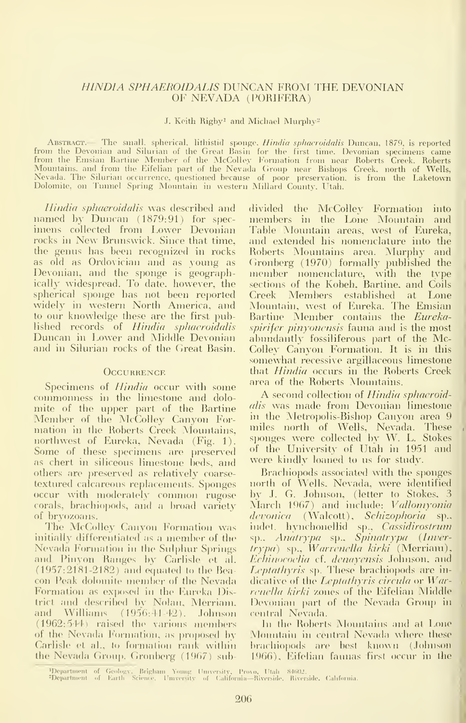#### HINDIA SPHAEROIDALIS DUNCAN FROM THE DEVONIAN 0¥ NEVADA (PORIFERA)

#### J. Keith Rigby<sup>1</sup> and Michael Murphy<sup>2</sup>

ABSTRACT.— The small, spherical, lithistid sponge, *Hindia sphaeroidalis* Duncan, 1879, is reported from the Devonian and Silurian of the Great Basin for the first time. Devonian specimens came<br>from the Emsian Bartine Member of the McColley Formation from near Roberts Creek. Roberts Mountains, and from the Eifelian part of the Nevada Group near Bishops Creek, north of Wells,<br>Nevada. The Silurian occurrence, questioned because of poor preservation, is from the Laketown Dolomite, on Tunnel Spring Mountain in western Millard Countj% Utah.

Hindia sphaeroidalis was described and named by Duncan (1879:91) for spec imens collected from Lower Devonian rocks in New Brunswick. Since that time, the genus has been recognized in rocks as old as Ordovician and as ^oung as Devonian, and the sponge is geographically widespread. To date, however, the spherical sponge has not been reported widely in western North America, and to our knowledge these are the first published records of Hindia sphaeroidalis Duncan in Lower and Middle Devonian and in Silurian rocks of the Great Basin.

#### **OCCURRENCE**

Specimens of *Hindia* occur with some commonness in the limestone and dolo mite of the upper part of the Bartine Member of the McColley Canyon For mation in the Roberts Creek Mountains, northwest of Eureka, Nevada (Fig. 1). Some of these specimens are preserved as chert in siliceous limestone beds, and others are preserved as relatively coarse textured calcareous replacements. Sponges occur with moderately common rugose corals, brachiopods, and a broad variety of bryozoans.

The McColley Canyon Formation was initially differentiated as <sup>a</sup> member of the Nevada Formation in the Sulphur Springs and Pinvon Ranges by Carlisle et al. (1957:2181-2182) and equated to the Bea con Peak dolomite member of the Nevada Formation as exposed in the Eureka District and described by Nolan, Merriam. and Williams (1956:41-42). Johnson (1962: 544j raised the various members of the Nevada Formation, as proposed by Carlisle et al., to formation rank within the Nevada Group. Gronberg  $(1967)$  subdivided the McColley Formation into members in the Lone Mountain and Table Mountain areas, west of Eureka, and extended his nomenclature into the Roberts Mountains area. Murphy and Cironberg (1970) formally published the member nomenclature, with the type sections of the Kobeh, Bartine, and Coils Creek Members established at Lone Mountain, west of Eureka. The Emsian Bartine Member contains the Eurekaspirifer pinyonensis fauna and is the most abundantly fossiliferous part of the Mc-Colley Canyon Formation. It is in this somewhat recessive argillaceous limestone that Hindia occurs in the Roberts Creek area of the Roberts Mountains.

A second collection of Hindia sphaeroidalis was made from Devonian limestone in the Metropolis-Bishop Canyon area 9 miles north of Wells, Nevada. These sponges were collected by W. L. Stokes of the University of Utah in 1951 and were kindly loaned to us for study.

Brachiopods associated with the sponges north of Wells. Nevada, were identified by J. G. Johnson, (letter to Stokes, 3 March 1967) and include: Vallomyonia devonica (Walcott), Schizophoria sp., indet. hynchonellid sp., Cassidirostrum sp., Anatrypa sp., Spinatrypa (Invertrypa) sp., Warrenella kirki (Merriam), Echinocoelia cf. denayensis Johnson, and Leptathyris sp. These brachiopods are indicative of the Leptathyris circula or  $W$ arrenella kirki zones of the Eifelian Middle Devonian part of the Nevada Group in central Nevada.

In the Roberts Mountains and at Lone Monntain in central Nevada where these brachiopods are best known (Johnson 1966), Eifelian faunas first occur in the

<sup>&#</sup>x27;Department of Geology, Brigham Young University, Provo, Utah 84602.<br>"Department of Earth Science, University of California—Riverside, Riverside, California. -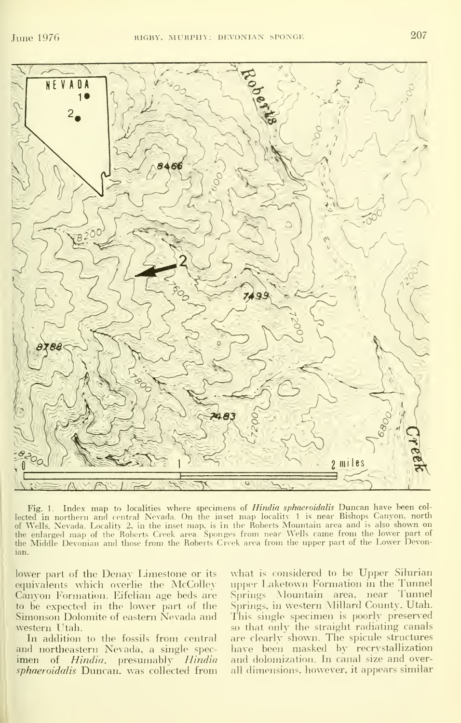

Fig. 1. Index map to localities where specimens of Hindia sphaeroidalis Duncan have been col lected in northern and central Nevada. On the inset map locality 1 is near Bishops Canyon, north of Wells. Nevada. Locality 2, in the inset map. isin the Roberts Mountain area and is also shown on the enlarged map of the Roberts Creek area. Sponges from near Wells came from the lower part of the Middle Devonian and those from the Roberts Creek area from the upper part of the Lower Devonian.

lower part of the Denay Limestone or its equivalents which overlie the McColley Canvon Formation. Eifelian age beds are to be expected in the lower part of the Simonson Dolomite of eastern Nevada and western Utah.

In addition to the fossils from central and northeastern Nevada, a single spec imen of Hindia. presumably Hindia sphaeroidalis Duncan, was collected from

what is considered to be Upper Silurian upper Laketown Formation in the Tunnel Springs Mountain area, near Tunnel Springs, in western Millard County, Utah. This single specimen is poorly preserved so that only the straight radiating canals are clearly shown. The spicule structures have been masked by recrystallization and dolomization. In canal size and overall dimensions, however, it appears similar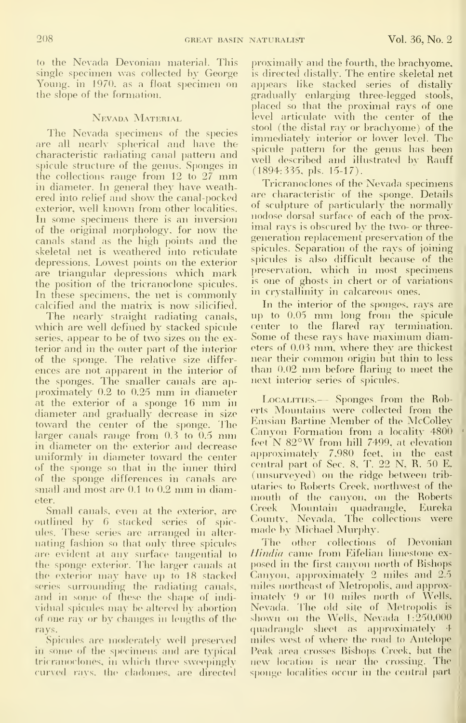to the Nevada Devonian material. This single specimen was collected by George Young, in 1970, as a float specimen on the slope of the formation.

#### Nevada Material

The Nevada specimens of the species are all nearly spherical and have the characteristic radiating canal pattern and spicule structure of the genus. Sponges in the collections range from <sup>12</sup> to <sup>27</sup> mm in diameter. In general they have weathered into relief and show^ the canal-pocked exterior, well known from other localities. In some specimens there is an inversion of the original morphology, for now the canals stand as the high points and the skeletal net is weathered into reticulate depressions. Lowest points on the exterior are triangular depressions which mark the position of the tricranoclone spicules. In these specimens, the net is commonly calcified and the matrix is now silicified.

The nearly straight radiating canals, which are well defined by stacked spicule series, appear to be of two sizes on the exterior and in the outer part of the interior of the sponge. The relative size differ ences are not apparent in the interior of the sponges. The smaller canals are ap proximately 0.2 to 0.25 mm in diameter at the exterior of <sup>a</sup> sponge <sup>16</sup> mm in diameter and gradually decrease in size toward the center of the sponge. The larger canals range from 0.3 to 0.5 mm in diameter on the exterior and decrease uniformly in diameter toward the center of the sponge so that in the inner third of the sponge differences in canals are small and most are 0.1 to 0.2 mm in diameter.

Small canals, even at the exterior, are outlined by 6 stacked series of spicules. These series are arranged in alter nating fashion so that only three spicules are evident at any surface tangential to  $-I$ the sponge exterior. The larger canals at the exterior may have up to 18 stacked series surrounding the radiating canals, and in some of these the shape of individual spicules may be altered by abortion of one ray or by changes in lengths of the rays.

Spicules are moderately well preserved in some of the specimens and are typical tricranoclones, in which three sweepingly curved rays, the cladomes, are directed proximally and the fourth, the brachyome. is directed distally. The entire skeletal net appears like stacked series of distally gradually enlarging three-legged stools, placed so that the proximal rays of one level articulate with the center of the stool (the distal ray or brachyome) of the immediately interior or lower level. The spicule pattern for the genus has been  $\equiv$ well described and illustrated b^ Rauff (1894:335, pis. 15-17).

Tricranociones of the Nevada specimens are characteristic of the sponge. Details of sculpture of particularly the normally nodose dorsal surface of each of the proximal rays is obscured by the two- or threegeneration replacement preservation of the spicules. Separation of the rays of joining spicules is also difficult because of the preservation, which in most specimens is one of ghosts in chert or of variations in crystallinity in calcareous ones.

In the interior of the sponges, rays are u]) to 0.05 mm long from the spicule center to the flared ray termination. Some of these rays have maxinuun diameters of 0.03 mm, where they are thickest near their common origin but thin to less than 0.02 mm before flaring to meet the next interior series of spicules.

Localities.— Sponges from the Roberts Mountains were collected from the Emsian Bartine Member of the McColley Canyon Formation from <sup>a</sup> locality 4800 feet N 82°W from hill 7499, at elevation approximately 7,980 feet, in the east central part of Sec. 8, T. 22 N, R. 50 E, (unsurveyed) on the ridge between trib utaries to Roberts Creek, northwest of the mouth of the canyon, on the Roberts Oeek Mountain quadrangle. Eureka County, Nevada. The collections were made by Michael Murphy.

The other collections of Devonian Hindia came from Eifelian limestone ex posed in the first canyon north of Bishops Canyon, approximately 2 miles and 2.5 miles northeast of Metropolis, and approximately 9 or 10 miles north of Wells, Nevada. The old site of Metropolis is shown on the Wells, Nevada  $1:250,000$ quadrangle sheet as approximately  $\pm$ miles west of where the road to Antelope Peak area crosses Bishops Creek, but the new location is nc^ar the crossing. The sponge localities occur in the central part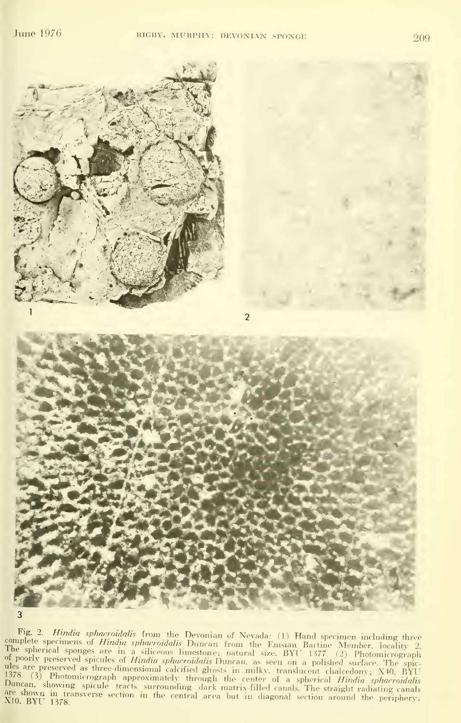

Fig. 2. *Hindia sphaeroidalis* from the Devonian of Nevada: (1) Hand specimen including three<br>complete specimens of *Hindia sphaeroidalis* Duncan from the Emsian Bartine Member, locality 2. The spherical sponges are in a siliceous limestone; natural size, BYU 1377. (2) Photomicrograph<br>of poorly preserved spicules of *Hindia sphaeroidalis* Duncan, as seen on a polished surface. The spicules are preserved as three-dimensional calcified ghosts in milky, translucent chalcedony; X40, BYU<br>1378. (3) Photomicrograph approximately through the center of a spherical *Hindia sphaeroidalis*<br>Duncan, showing spicule t are shown in transverse section in the central area but in diagonal section around the periphery;<br>X10, BYU 1378.